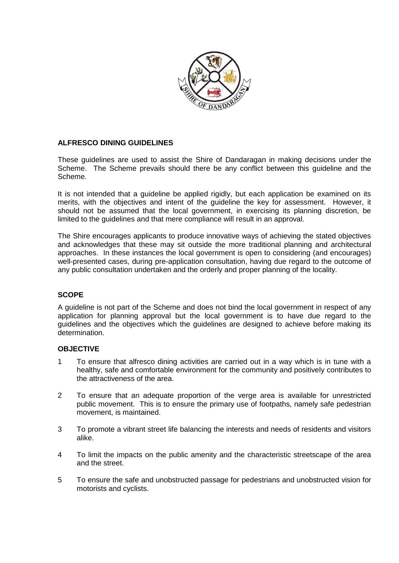

### **ALFRESCO DINING GUIDELINES**

These guidelines are used to assist the Shire of Dandaragan in making decisions under the Scheme. The Scheme prevails should there be any conflict between this guideline and the Scheme.

It is not intended that a guideline be applied rigidly, but each application be examined on its merits, with the objectives and intent of the guideline the key for assessment. However, it should not be assumed that the local government, in exercising its planning discretion, be limited to the guidelines and that mere compliance will result in an approval.

The Shire encourages applicants to produce innovative ways of achieving the stated objectives and acknowledges that these may sit outside the more traditional planning and architectural approaches. In these instances the local government is open to considering (and encourages) well-presented cases, during pre-application consultation, having due regard to the outcome of any public consultation undertaken and the orderly and proper planning of the locality.

#### **SCOPE**

A guideline is not part of the Scheme and does not bind the local government in respect of any application for planning approval but the local government is to have due regard to the guidelines and the objectives which the guidelines are designed to achieve before making its determination.

#### **OBJECTIVE**

- 1 To ensure that alfresco dining activities are carried out in a way which is in tune with a healthy, safe and comfortable environment for the community and positively contributes to the attractiveness of the area.
- 2 To ensure that an adequate proportion of the verge area is available for unrestricted public movement. This is to ensure the primary use of footpaths, namely safe pedestrian movement, is maintained.
- 3 To promote a vibrant street life balancing the interests and needs of residents and visitors alike.
- 4 To limit the impacts on the public amenity and the characteristic streetscape of the area and the street.
- 5 To ensure the safe and unobstructed passage for pedestrians and unobstructed vision for motorists and cyclists.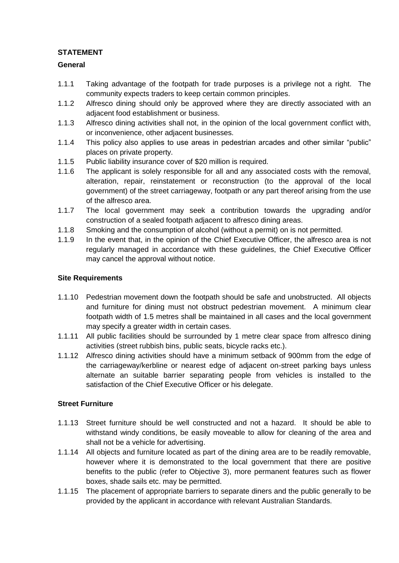# **STATEMENT**

## **General**

- 1.1.1 Taking advantage of the footpath for trade purposes is a privilege not a right. The community expects traders to keep certain common principles.
- 1.1.2 Alfresco dining should only be approved where they are directly associated with an adjacent food establishment or business.
- 1.1.3 Alfresco dining activities shall not, in the opinion of the local government conflict with, or inconvenience, other adjacent businesses.
- 1.1.4 This policy also applies to use areas in pedestrian arcades and other similar "public" places on private property.
- 1.1.5 Public liability insurance cover of \$20 million is required.
- 1.1.6 The applicant is solely responsible for all and any associated costs with the removal, alteration, repair, reinstatement or reconstruction (to the approval of the local government) of the street carriageway, footpath or any part thereof arising from the use of the alfresco area.
- 1.1.7 The local government may seek a contribution towards the upgrading and/or construction of a sealed footpath adjacent to alfresco dining areas.
- 1.1.8 Smoking and the consumption of alcohol (without a permit) on is not permitted.
- 1.1.9 In the event that, in the opinion of the Chief Executive Officer, the alfresco area is not regularly managed in accordance with these guidelines, the Chief Executive Officer may cancel the approval without notice.

### **Site Requirements**

- 1.1.10 Pedestrian movement down the footpath should be safe and unobstructed. All objects and furniture for dining must not obstruct pedestrian movement. A minimum clear footpath width of 1.5 metres shall be maintained in all cases and the local government may specify a greater width in certain cases.
- 1.1.11 All public facilities should be surrounded by 1 metre clear space from alfresco dining activities (street rubbish bins, public seats, bicycle racks etc.).
- 1.1.12 Alfresco dining activities should have a minimum setback of 900mm from the edge of the carriageway/kerbline or nearest edge of adjacent on-street parking bays unless alternate an suitable barrier separating people from vehicles is installed to the satisfaction of the Chief Executive Officer or his delegate.

## **Street Furniture**

- 1.1.13 Street furniture should be well constructed and not a hazard. It should be able to withstand windy conditions, be easily moveable to allow for cleaning of the area and shall not be a vehicle for advertising.
- 1.1.14 All objects and furniture located as part of the dining area are to be readily removable, however where it is demonstrated to the local government that there are positive benefits to the public (refer to Objective 3), more permanent features such as flower boxes, shade sails etc. may be permitted.
- 1.1.15 The placement of appropriate barriers to separate diners and the public generally to be provided by the applicant in accordance with relevant Australian Standards.